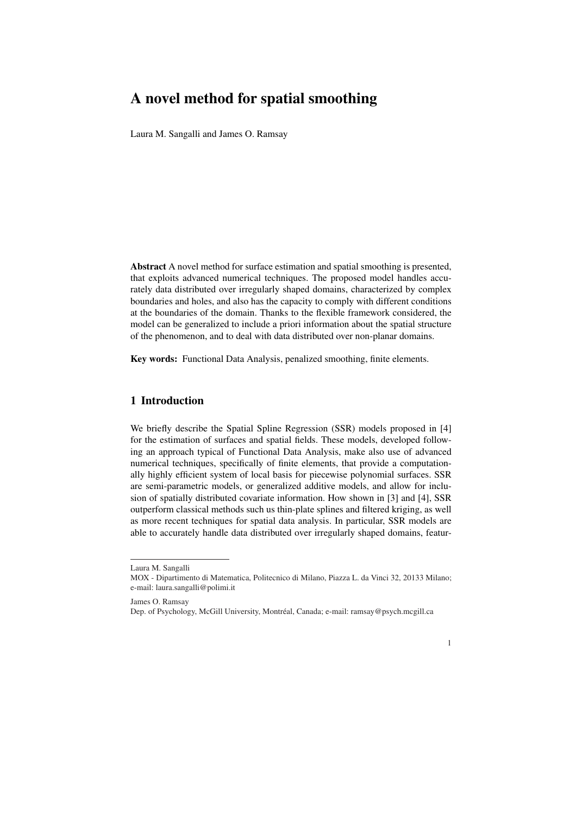# A novel method for spatial smoothing

Laura M. Sangalli and James O. Ramsay

Abstract A novel method for surface estimation and spatial smoothing is presented, that exploits advanced numerical techniques. The proposed model handles accurately data distributed over irregularly shaped domains, characterized by complex boundaries and holes, and also has the capacity to comply with different conditions at the boundaries of the domain. Thanks to the flexible framework considered, the model can be generalized to include a priori information about the spatial structure of the phenomenon, and to deal with data distributed over non-planar domains.

Key words: Functional Data Analysis, penalized smoothing, finite elements.

## 1 Introduction

We briefly describe the Spatial Spline Regression (SSR) models proposed in [4] for the estimation of surfaces and spatial fields. These models, developed following an approach typical of Functional Data Analysis, make also use of advanced numerical techniques, specifically of finite elements, that provide a computationally highly efficient system of local basis for piecewise polynomial surfaces. SSR are semi-parametric models, or generalized additive models, and allow for inclusion of spatially distributed covariate information. How shown in [3] and [4], SSR outperform classical methods such us thin-plate splines and filtered kriging, as well as more recent techniques for spatial data analysis. In particular, SSR models are able to accurately handle data distributed over irregularly shaped domains, featur-

Laura M. Sangalli

MOX - Dipartimento di Matematica, Politecnico di Milano, Piazza L. da Vinci 32, 20133 Milano; e-mail: laura.sangalli@polimi.it

James O. Ramsay

Dep. of Psychology, McGill University, Montreal, Canada; e-mail: ramsay@psych.mcgill.ca ´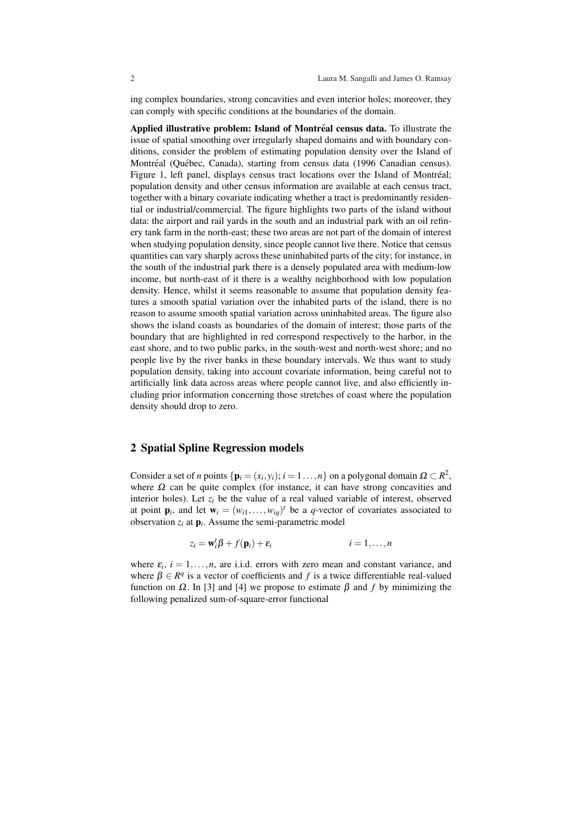ing complex boundaries, strong concavities and even interior holes; moreover, they can comply with specific conditions at the boundaries of the domain.

Applied illustrative problem: Island of Montréal census data. To illustrate the issue of spatial smoothing over irregularly shaped domains and with boundary conditions, consider the problem of estimating population density over the Island of Montréal (Québec, Canada), starting from census data (1996 Canadian census). Figure 1, left panel, displays census tract locations over the Island of Montréal; population density and other census information are available at each census tract, together with a binary covariate indicating whether a tract is predominantly residential or industrial/commercial. The figure highlights two parts of the island without data: the airport and rail yards in the south and an industrial park with an oil refinery tank farm in the north-east; these two areas are not part of the domain of interest when studying population density, since people cannot live there. Notice that census quantities can vary sharply across these uninhabited parts of the city; for instance, in the south of the industrial park there is a densely populated area with medium-low income, but north-east of it there is a wealthy neighborhood with low population density. Hence, whilst it seems reasonable to assume that population density features a smooth spatial variation over the inhabited parts of the island, there is no reason to assume smooth spatial variation across uninhabited areas. The figure also shows the island coasts as boundaries of the domain of interest; those parts of the boundary that are highlighted in red correspond respectively to the harbor, in the east shore, and to two public parks, in the south-west and north-west shore; and no people live by the river banks in these boundary intervals. We thus want to study population density, taking into account covariate information, being careful not to artificially link data across areas where people cannot live, and also efficiently including prior information concerning those stretches of coast where the population density should drop to zero.

#### 2 Spatial Spline Regression models

Consider a set of *n* points  $\{p_i = (x_i, y_i); i = 1, ..., n\}$  on a polygonal domain  $\Omega \subset \mathbb{R}^2$ , where  $\Omega$  can be quite complex (for instance, it can have strong concavities and interior holes). Let  $z_i$  be the value of a real valued variable of interest, observed at point  $\mathbf{p}_i$ , and let  $\mathbf{w}_i = (w_{i1}, \dots, w_{iq})^t$  be a *q*-vector of covariates associated to observation  $z_i$  at  $\mathbf{p}_i$ . Assume the semi-parametric model

$$
z_i = \mathbf{w}_i^t \boldsymbol{\beta} + f(\mathbf{p}_i) + \varepsilon_i \qquad i = 1, \dots, n
$$

where  $\varepsilon_i$ ,  $i = 1, \ldots, n$ , are i.i.d. errors with zero mean and constant variance, and where  $\beta \in \mathbb{R}^q$  is a vector of coefficients and f is a twice differentiable real-valued function on <sup>Ω</sup>. In [3] and [4] we propose to estimate β and *f* by minimizing the following penalized sum-of-square-error functional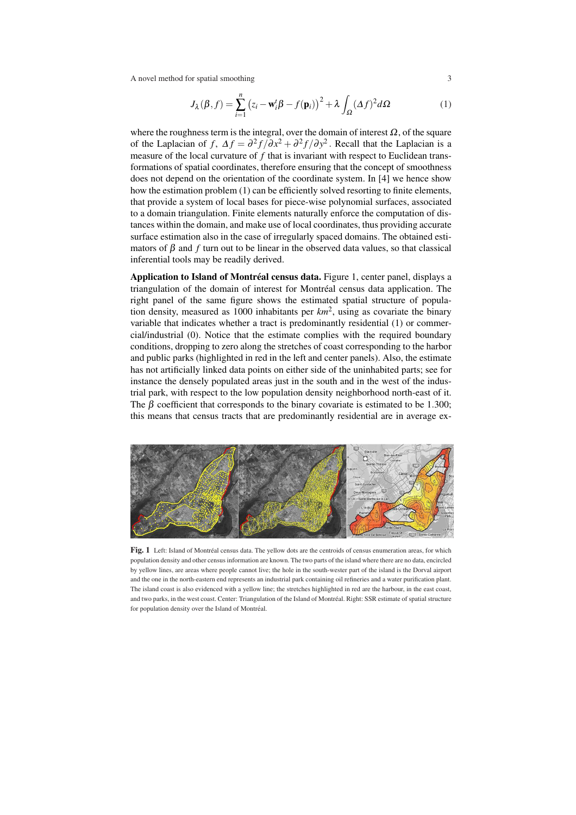A novel method for spatial smoothing 3

$$
J_{\lambda}(\beta, f) = \sum_{i=1}^{n} (z_i - \mathbf{w}_i^t \beta - f(\mathbf{p}_i))^2 + \lambda \int_{\Omega} (\Delta f)^2 d\Omega \tag{1}
$$

where the roughness term is the integral, over the domain of interest  $\Omega$ , of the square of the Laplacian of *f*,  $\Delta f = \frac{\partial^2 f}{\partial x^2} + \frac{\partial^2 f}{\partial y^2}$ . Recall that the Laplacian is a measure of the local curvature of *f* that is invariant with respect to Euclidean transformations of spatial coordinates, therefore ensuring that the concept of smoothness does not depend on the orientation of the coordinate system. In [4] we hence show how the estimation problem (1) can be efficiently solved resorting to finite elements, that provide a system of local bases for piece-wise polynomial surfaces, associated to a domain triangulation. Finite elements naturally enforce the computation of distances within the domain, and make use of local coordinates, thus providing accurate surface estimation also in the case of irregularly spaced domains. The obtained estimators of  $\beta$  and  $f$  turn out to be linear in the observed data values, so that classical inferential tools may be readily derived.

Application to Island of Montréal census data. Figure 1, center panel, displays a triangulation of the domain of interest for Montréal census data application. The right panel of the same figure shows the estimated spatial structure of population density, measured as 1000 inhabitants per  $km^2$ , using as covariate the binary variable that indicates whether a tract is predominantly residential (1) or commercial/industrial (0). Notice that the estimate complies with the required boundary conditions, dropping to zero along the stretches of coast corresponding to the harbor and public parks (highlighted in red in the left and center panels). Also, the estimate has not artificially linked data points on either side of the uninhabited parts; see for instance the densely populated areas just in the south and in the west of the industrial park, with respect to the low population density neighborhood north-east of it. The  $\beta$  coefficient that corresponds to the binary covariate is estimated to be 1.300; this means that census tracts that are predominantly residential are in average ex-



Fig. 1 Left: Island of Montréal census data. The yellow dots are the centroids of census enumeration areas, for which population density and other census information are known. The two parts of the island where there are no data, encircled by yellow lines, are areas where people cannot live; the hole in the south-wester part of the island is the Dorval airport and the one in the north-eastern end represents an industrial park containing oil refineries and a water purification plant. The island coast is also evidenced with a yellow line; the stretches highlighted in red are the harbour, in the east coast, and two parks, in the west coast. Center: Triangulation of the Island of Montreal. Right: SSR estimate of spatial structure ´ for population density over the Island of Montréal.